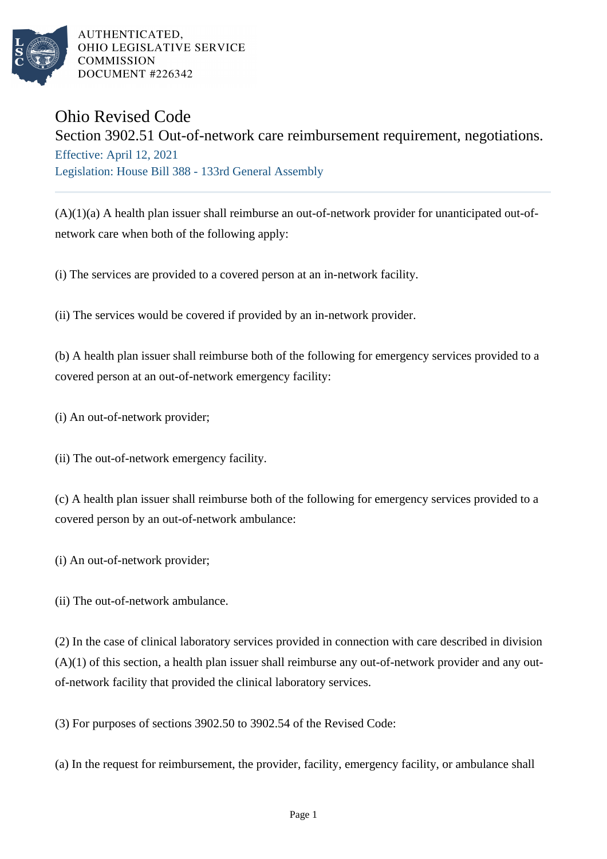

AUTHENTICATED. OHIO LEGISLATIVE SERVICE **COMMISSION** DOCUMENT #226342

## Ohio Revised Code

Section 3902.51 Out-of-network care reimbursement requirement, negotiations. Effective: April 12, 2021 Legislation: House Bill 388 - 133rd General Assembly

(A)(1)(a) A health plan issuer shall reimburse an out-of-network provider for unanticipated out-ofnetwork care when both of the following apply:

(i) The services are provided to a covered person at an in-network facility.

(ii) The services would be covered if provided by an in-network provider.

(b) A health plan issuer shall reimburse both of the following for emergency services provided to a covered person at an out-of-network emergency facility:

(i) An out-of-network provider;

(ii) The out-of-network emergency facility.

(c) A health plan issuer shall reimburse both of the following for emergency services provided to a covered person by an out-of-network ambulance:

(i) An out-of-network provider;

(ii) The out-of-network ambulance.

(2) In the case of clinical laboratory services provided in connection with care described in division  $(A)(1)$  of this section, a health plan issuer shall reimburse any out-of-network provider and any outof-network facility that provided the clinical laboratory services.

(3) For purposes of sections 3902.50 to 3902.54 of the Revised Code:

(a) In the request for reimbursement, the provider, facility, emergency facility, or ambulance shall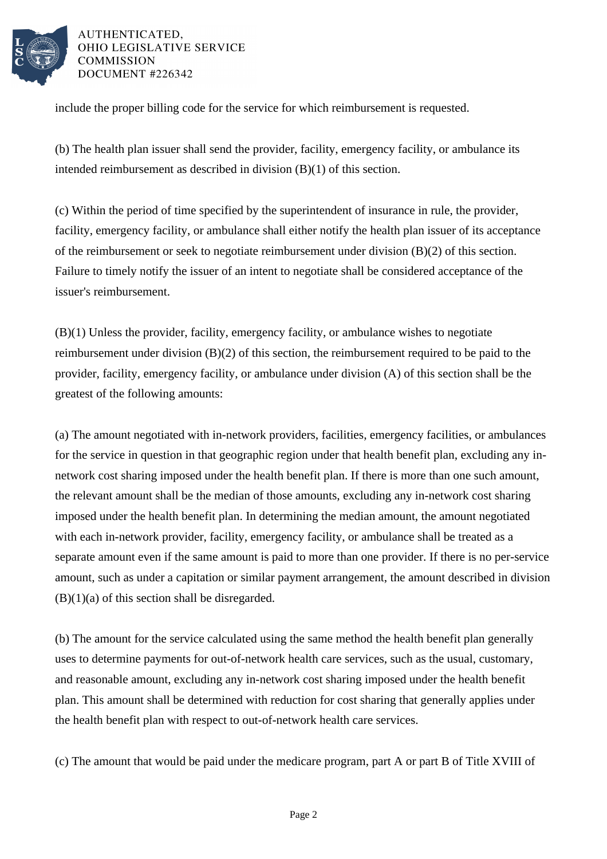

AUTHENTICATED. OHIO LEGISLATIVE SERVICE **COMMISSION** DOCUMENT #226342

include the proper billing code for the service for which reimbursement is requested.

(b) The health plan issuer shall send the provider, facility, emergency facility, or ambulance its intended reimbursement as described in division (B)(1) of this section.

(c) Within the period of time specified by the superintendent of insurance in rule, the provider, facility, emergency facility, or ambulance shall either notify the health plan issuer of its acceptance of the reimbursement or seek to negotiate reimbursement under division (B)(2) of this section. Failure to timely notify the issuer of an intent to negotiate shall be considered acceptance of the issuer's reimbursement.

(B)(1) Unless the provider, facility, emergency facility, or ambulance wishes to negotiate reimbursement under division (B)(2) of this section, the reimbursement required to be paid to the provider, facility, emergency facility, or ambulance under division (A) of this section shall be the greatest of the following amounts:

(a) The amount negotiated with in-network providers, facilities, emergency facilities, or ambulances for the service in question in that geographic region under that health benefit plan, excluding any innetwork cost sharing imposed under the health benefit plan. If there is more than one such amount, the relevant amount shall be the median of those amounts, excluding any in-network cost sharing imposed under the health benefit plan. In determining the median amount, the amount negotiated with each in-network provider, facility, emergency facility, or ambulance shall be treated as a separate amount even if the same amount is paid to more than one provider. If there is no per-service amount, such as under a capitation or similar payment arrangement, the amount described in division  $(B)(1)(a)$  of this section shall be disregarded.

(b) The amount for the service calculated using the same method the health benefit plan generally uses to determine payments for out-of-network health care services, such as the usual, customary, and reasonable amount, excluding any in-network cost sharing imposed under the health benefit plan. This amount shall be determined with reduction for cost sharing that generally applies under the health benefit plan with respect to out-of-network health care services.

(c) The amount that would be paid under the medicare program, part A or part B of Title XVIII of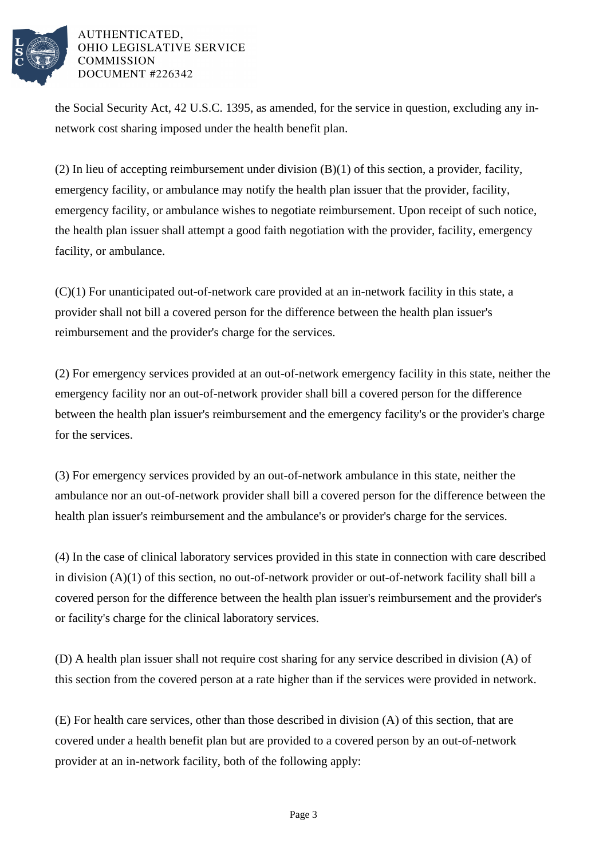

## AUTHENTICATED, OHIO LEGISLATIVE SERVICE **COMMISSION** DOCUMENT #226342

the Social Security Act, 42 U.S.C. 1395, as amended, for the service in question, excluding any innetwork cost sharing imposed under the health benefit plan.

(2) In lieu of accepting reimbursement under division (B)(1) of this section, a provider, facility, emergency facility, or ambulance may notify the health plan issuer that the provider, facility, emergency facility, or ambulance wishes to negotiate reimbursement. Upon receipt of such notice, the health plan issuer shall attempt a good faith negotiation with the provider, facility, emergency facility, or ambulance.

(C)(1) For unanticipated out-of-network care provided at an in-network facility in this state, a provider shall not bill a covered person for the difference between the health plan issuer's reimbursement and the provider's charge for the services.

(2) For emergency services provided at an out-of-network emergency facility in this state, neither the emergency facility nor an out-of-network provider shall bill a covered person for the difference between the health plan issuer's reimbursement and the emergency facility's or the provider's charge for the services.

(3) For emergency services provided by an out-of-network ambulance in this state, neither the ambulance nor an out-of-network provider shall bill a covered person for the difference between the health plan issuer's reimbursement and the ambulance's or provider's charge for the services.

(4) In the case of clinical laboratory services provided in this state in connection with care described in division (A)(1) of this section, no out-of-network provider or out-of-network facility shall bill a covered person for the difference between the health plan issuer's reimbursement and the provider's or facility's charge for the clinical laboratory services.

(D) A health plan issuer shall not require cost sharing for any service described in division (A) of this section from the covered person at a rate higher than if the services were provided in network.

(E) For health care services, other than those described in division (A) of this section, that are covered under a health benefit plan but are provided to a covered person by an out-of-network provider at an in-network facility, both of the following apply: